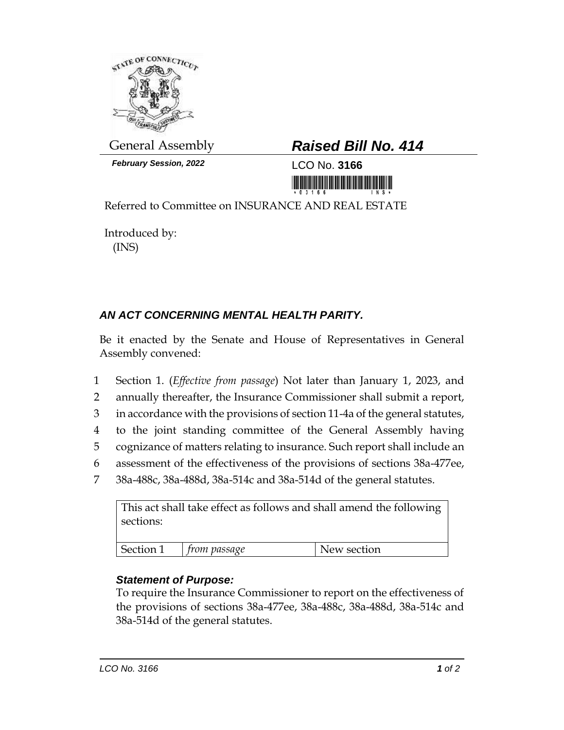

*February Session, 2022* LCO No. **3166**

## General Assembly *Raised Bill No. 414*

<u>ni koʻmiy karalarna mumiy ishi</u>

Referred to Committee on INSURANCE AND REAL ESTATE

Introduced by: (INS)

## *AN ACT CONCERNING MENTAL HEALTH PARITY.*

Be it enacted by the Senate and House of Representatives in General Assembly convened:

- 1 Section 1. (*Effective from passage*) Not later than January 1, 2023, and
- 2 annually thereafter, the Insurance Commissioner shall submit a report,
- 3 in accordance with the provisions of section 11-4a of the general statutes,
- 4 to the joint standing committee of the General Assembly having
- 5 cognizance of matters relating to insurance. Such report shall include an
- 6 assessment of the effectiveness of the provisions of sections 38a-477ee,
- 7 38a-488c, 38a-488d, 38a-514c and 38a-514d of the general statutes.

| This act shall take effect as follows and shall amend the following<br>sections: |              |             |
|----------------------------------------------------------------------------------|--------------|-------------|
| Section 1                                                                        | from passage | New section |
|                                                                                  |              |             |

## *Statement of Purpose:*

To require the Insurance Commissioner to report on the effectiveness of the provisions of sections 38a-477ee, 38a-488c, 38a-488d, 38a-514c and 38a-514d of the general statutes.